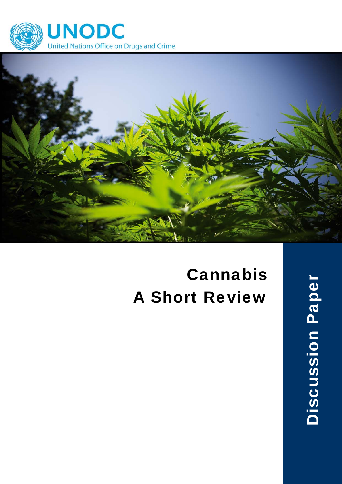



# Cannabis A Short Review

**Discussion Paper** Discussion Paper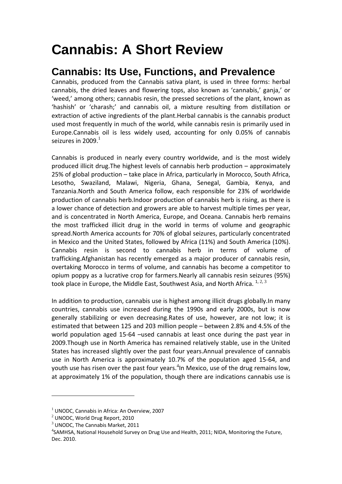## **Cannabis: A Short Review**

### **Cannabis: Its Use, Functions, and Prevalence**

Cannabis, produced from the Cannabis sativa plant, is used in three forms: herbal cannabis, the dried leaves and flowering tops, also known as 'cannabis,' ganja,' or 'weed,' among others; cannabis resin, the pressed secretions of the plant, known as 'hashish' or 'charash;' and cannabis oil, a mixture resulting from distillation or extraction of active ingredients of the plant.Herbal cannabis is the cannabis product used most frequently in much of the world, while cannabis resin is primarily used in Europe.Cannabis oil is less widely used, accounting for only 0.05% of cannabis seizures in 2009. $1$ 

Cannabis is produced in nearly every country worldwide, and is the most widely produced illicit drug.The highest levels of cannabis herb production – approximately 25% of global production – take place in Africa, particularly in Morocco, South Africa, Lesotho, Swaziland, Malawi, Nigeria, Ghana, Senegal, Gambia, Kenya, and Tanzania.North and South America follow, each responsible for 23% of worldwide production of cannabis herb.Indoor production of cannabis herb is rising, as there is a lower chance of detection and growers are able to harvest multiple times per year, and is concentrated in North America, Europe, and Oceana. Cannabis herb remains the most trafficked illicit drug in the world in terms of volume and geographic spread.North America accounts for 70% of global seizures, particularly concentrated in Mexico and the United States, followed by Africa (11%) and South America (10%). Cannabis resin is second to cannabis herb in terms of volume of trafficking.Afghanistan has recently emerged as a major producer of cannabis resin, overtaking Morocco in terms of volume, and cannabis has become a competitor to opium poppy as a lucrative crop for farmers.Nearly all cannabis resin seizures (95%) took place in Europe, the Middle East, Southwest Asia, and North Africa.  $1, 2, 3$ 

In addition to production, cannabis use is highest among illicit drugs globally.In many countries, cannabis use increased during the 1990s and early 2000s, but is now generally stabilizing or even decreasing.Rates of use, however, are not low; it is estimated that between 125 and 203 million people – between 2.8% and 4.5% of the world population aged 15-64 –used cannabis at least once during the past year in 2009.Though use in North America has remained relatively stable, use in the United States has increased slightly over the past four years.Annual prevalence of cannabis use in North America is approximately 10.7% of the population aged 15‐64, and youth use has risen over the past four years. $^4$ In Mexico, use of the drug remains low, at approximately 1% of the population, though there are indications cannabis use is

 $<sup>1</sup>$  UNODC, Cannabis in Africa: An Overview, 2007</sup>

<sup>&</sup>lt;sup>2</sup> UNODC, World Drug Report, 2010<br><sup>3</sup> UNODC, The Cannabis Market, 2011

 $4$ SAMHSA, National Household Survey on Drug Use and Health, 2011; NIDA, Monitoring the Future, Dec. 2010.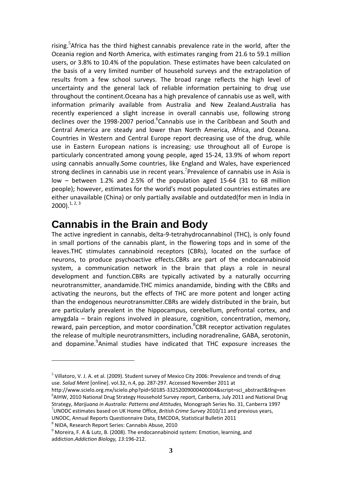rising.<sup>5</sup>Africa has the third highest cannabis prevalence rate in the world, after the Oceania region and North America, with estimates ranging from 21.6 to 59.1 million users, or 3.8% to 10.4% of the population. These estimates have been calculated on the basis of a very limited number of household surveys and the extrapolation of results from a few school surveys. The broad range reflects the high level of uncertainty and the general lack of reliable information pertaining to drug use throughout the continent.Oceana has a high prevalence of cannabis use as well, with information primarily available from Australia and New Zealand.Australia has recently experienced a slight increase in overall cannabis use, following strong declines over the 1998-2007 period.<sup>6</sup>Cannabis use in the Caribbean and South and Central America are steady and lower than North America, Africa, and Oceana. Countries in Western and Central Europe report decreasing use of the drug, while use in Eastern European nations is increasing; use throughout all of Europe is particularly concentrated among young people, aged 15‐24, 13.9% of whom report using cannabis annually.Some countries, like England and Wales, have experienced strong declines in cannabis use in recent years.<sup>7</sup> Prevalence of cannabis use in Asia is low – between 1.2% and 2.5% of the population aged 15‐64 (31 to 68 million people); however, estimates for the world's most populated countries estimates are either unavailable (China) or only partially available and outdated(for men in India in  $2000$ ).<sup>1, 2, 3</sup>

### **Cannabis in the Brain and Body**

The active ingredient in cannabis, delta‐9‐tetrahydrocannabinol (THC), is only found in small portions of the cannabis plant, in the flowering tops and in some of the leaves.THC stimulates cannabinoid receptors (CBRs), located on the surface of neurons, to produce psychoactive effects.CBRs are part of the endocannabinoid system, a communication network in the brain that plays a role in neural development and function.CBRs are typically activated by a naturally occurring neurotransmitter, anandamide.THC mimics anandamide, binding with the CBRs and activating the neurons, but the effects of THC are more potent and longer acting than the endogenous neurotransmitter.CBRs are widely distributed in the brain, but are particularly prevalent in the hippocampus, cerebellum, prefrontal cortex, and amygdala – brain regions involved in pleasure, cognition, concentration, memory, reward, pain perception, and motor coordination. <sup>8</sup>CBR receptor activation regulates the release of multiple neurotransmitters, including noradrenaline, GABA, serotonin, and dopamine.<sup>9</sup> Animal studies have indicated that THC exposure increases the

 $5$  Villatoro, V. J. A. et al. (2009). Student survey of Mexico City 2006: Prevalence and trends of drug use. *Salud Ment* [online]. vol.32, n.4, pp. 287‐297. Accessed November 2011 at

http://www.scielo.org.mx/scielo.php?pid=S0185-33252009000400004&script=sci\_abstract&tlng=en <sup>6</sup> AIHW, 2010 National Drug Strategy Household Survey report, Canberra, July 2011 and National Drug Strategy, *Marijuana in Australia: Patterns and Attitudes,* Monograph Series No. 31, Canberra <sup>1997</sup> <sup>7</sup> UNODC estimates based on UK Home Office, *British Crime Survey* 2010/11 and previous years,

UNODC, Annual Reports Questionnaire Data, EMCDDA, Statistical Bulletin 2011 8<br>
<sup>8</sup> NIDA, Research Report Series: Cannabis Abuse, 2010 9 Moreira, F. A & Lutz, B. (2008). The endocannabinoid system: Emotion, learning, and addiction.*Addiction Biology, 13:*196‐212.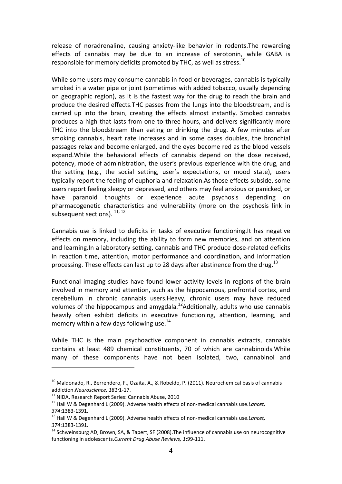release of noradrenaline, causing anxiety-like behavior in rodents. The rewarding effects of cannabis may be due to an increase of serotonin, while GABA is responsible for memory deficits promoted by THC, as well as stress. $^{10}$ 

While some users may consume cannabis in food or beverages, cannabis is typically smoked in a water pipe or joint (sometimes with added tobacco, usually depending on geographic region), as it is the fastest way for the drug to reach the brain and produce the desired effects.THC passes from the lungs into the bloodstream, and is carried up into the brain, creating the effects almost instantly. Smoked cannabis produces a high that lasts from one to three hours, and delivers significantly more THC into the bloodstream than eating or drinking the drug. A few minutes after smoking cannabis, heart rate increases and in some cases doubles, the bronchial passages relax and become enlarged, and the eyes become red as the blood vessels expand.While the behavioral effects of cannabis depend on the dose received, potency, mode of administration, the user's previous experience with the drug, and the setting (e.g., the social setting, user's expectations, or mood state), users typically report the feeling of euphoria and relaxation.As those effects subside, some users report feeling sleepy or depressed, and others may feel anxious or panicked, or have paranoid thoughts or experience acute psychosis depending on pharmacogenetic characteristics and vulnerability (more on the psychosis link in subsequent sections).  $^{11, 12}$ 

Cannabis use is linked to deficits in tasks of executive functioning.It has negative effects on memory, including the ability to form new memories, and on attention and learning.In a laboratory setting, cannabis and THC produce dose-related deficits in reaction time, attention, motor performance and coordination, and information processing. These effects can last up to 28 days after abstinence from the drug.<sup>13</sup>

Functional imaging studies have found lower activity levels in regions of the brain involved in memory and attention, such as the hippocampus, prefrontal cortex, and cerebellum in chronic cannabis users.Heavy, chronic users may have reduced volumes of the hippocampus and amygdala.<sup>12</sup>Additionally, adults who use cannabis heavily often exhibit deficits in executive functioning, attention, learning, and memory within a few days following use.<sup>14</sup>

While THC is the main psychoactive component in cannabis extracts, cannabis contains at least 489 chemical constituents, 70 of which are cannabinoids.While many of these components have not been isolated, two, cannabinol and

 $^{10}$  Maldonado, R., Berrendero, F., Ozaita, A., & Robeldo, P. (2011). Neurochemical basis of cannabis addiction.*Neuroscience, 181:*1-17.<br><sup>11</sup> NIDA, Research Report Series: Cannabis Abuse, 2010

<sup>12</sup> Hall W & Degenhard L (2009). Adverse health effects of non‐medical cannabis use.*Lancet, 374*:1383‐1391.

<sup>13</sup> Hall W & Degenhard L (2009). Adverse health effects of non‐medical cannabis use.*Lancet,* 374:1383-1391.<br><sup>14</sup> Schweinsburg AD, Brown, SA, & Tapert, SF (2008).The influence of cannabis use on neurocognitive

functioning in adolescents.*Current Drug Abuse Reviews, 1*:99‐111.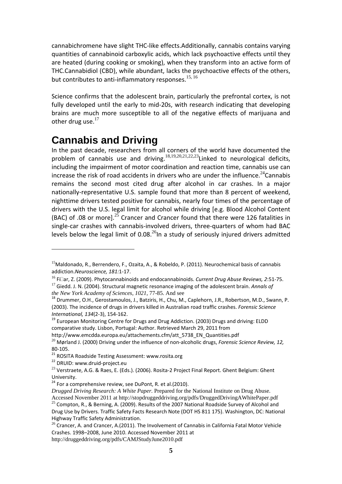cannabichromene have slight THC‐like effects.Additionally, cannabis contains varying quantities of cannabinoid carboxylic acids, which lack psychoactive effects until they are heated (during cooking or smoking), when they transform into an active form of THC.Cannabidiol (CBD), while abundant, lacks the psychoactive effects of the others, but contributes to anti-inflammatory responses.<sup>15, 16</sup>

Science confirms that the adolescent brain, particularly the prefrontal cortex, is not fully developed until the early to mid-20s, with research indicating that developing brains are much more susceptible to all of the negative effects of marijuana and other drug use. $17$ 

### **Cannabis and Driving**

In the past decade, researchers from all corners of the world have documented the problem of cannabis use and driving.<sup>18,19,20,21,22,23</sup>Linked to neurological deficits, including the impairment of motor coordination and reaction time, cannabis use can increase the risk of road accidents in drivers who are under the influence.<sup>24</sup>Cannabis remains the second most cited drug after alcohol in car crashes. In a major nationally‐representative U.S. sample found that more than 8 percent of weekend, nighttime drivers tested positive for cannabis, nearly four times of the percentage of drivers with the U.S. legal limit for alcohol while driving [e.g. Blood Alcohol Content (BAC) of .08 or more]. $^{25}$  Crancer and Crancer found that there were 126 fatalities in single-car crashes with cannabis-involved drivers, three-quarters of whom had BAC levels below the legal limit of  $0.08<sup>26</sup>$ In a study of seriously injured drivers admitted

<sup>&</sup>lt;sup>15</sup>Maldonado, R., Berrendero, F., Ozaita, A., & Robeldo, P. (2011). Neurochemical basis of cannabis addiction.*Neuroscience, 181:*1‐17.

<sup>&</sup>lt;sup>16</sup> Fillar, Z. (2009). Phytocannabinoids and endocannabinoids. Current Drug Abuse Reviews, 2:51-75.<br><sup>17</sup> Giedd. J. N. (2004). Structural magnetic resonance imaging of the adolescent brain. Annals of the New York Academy

<sup>&</sup>lt;sup>18</sup> Drummer, O.H., Gerostamoulos, J., Batziris, H., Chu, M., Caplehorn, J.R., Robertson, M.D., Swann, P. (2003). The incidence of drugs in drivers killed in Australian road traffic crashes. *Forensic Science International, 134*(2-3), 154-162.<br><sup>19</sup> European Monitoring Centre for Drugs and Drug Addiction. (2003) Drugs and driving: ELDD

comparative study. Lisbon, Portugal: Author. Retrieved March 29, 2011 from

http://www.emcdda.europa.eu/attachements.cfm/att\_5738\_EN\_Quantities.pdf <sup>20</sup> Mørland J. (2000) Driving under the influence of non‐alcoholic drugs, *Forensic Science Review, 12,*

<sup>80-105.&</sup>lt;br><sup>21</sup> ROSITA Roadside Testing Assessment: www.rosita.org <sup>22</sup> DRUID: www.druid-project.eu

<sup>&</sup>lt;sup>23</sup> Verstraete, A.G. & Raes, E. (Eds.). (2006). Rosita-2 Project Final Report. Ghent Belgium: Ghent University.

 $^{24}$  For a comprehensive review, see DuPont, R. et al.(2010).

*Drugged Driving Research: A White Paper.* Prepared for the National Institute on Drug Abuse. Accessed November 2011 at http://stopdruggeddriving.org/pdfs/DruggedDrivingAWhitePaper.pdf  $^{25}$  Compton, R., & Berning, A. (2009). Results of the 2007 National Roadside Survey of Alcohol and Drug Use by Drivers. Traffic Safety Facts Research Note (DOT HS 811 175). Washington, DC: National Highway Traffic Safety Administration.

 $26$  Crancer, A. and Crancer, A.(2011). The Involvement of Cannabis in California Fatal Motor Vehicle Crashes. 1998–2008, June 2010. Accessed November 2011 at http://druggeddriving.org/pdfs/CAMJStudyJune2010.pdf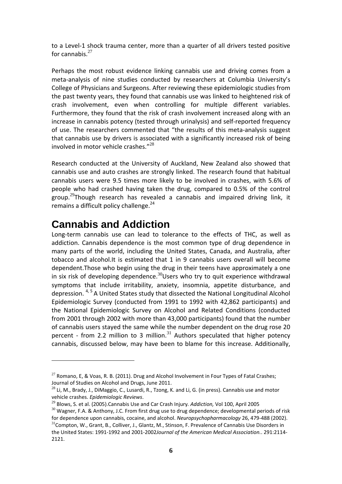to a Level‐1 shock trauma center, more than a quarter of all drivers tested positive for cannabis. $27$ 

Perhaps the most robust evidence linking cannabis use and driving comes from a meta‐analysis of nine studies conducted by researchers at Columbia University's College of Physicians and Surgeons. After reviewing these epidemiologic studies from the past twenty years, they found that cannabis use was linked to heightened risk of crash involvement, even when controlling for multiple different variables. Furthermore, they found that the risk of crash involvement increased along with an increase in cannabis potency (tested through urinalysis) and self‐reported frequency of use. The researchers commented that "the results of this meta‐analysis suggest that cannabis use by drivers is associated with a significantly increased risk of being involved in motor vehicle crashes."<sup>28</sup>

Research conducted at the University of Auckland, New Zealand also showed that cannabis use and auto crashes are strongly linked. The research found that habitual cannabis users were 9.5 times more likely to be involved in crashes, with 5.6% of people who had crashed having taken the drug, compared to 0.5% of the control group.<sup>29</sup>Though research has revealed a cannabis and impaired driving link, it remains a difficult policy challenge. $24$ 

### **Cannabis and Addiction**

Long-term cannabis use can lead to tolerance to the effects of THC, as well as addiction. Cannabis dependence is the most common type of drug dependence in many parts of the world, including the United States, Canada, and Australia, after tobacco and alcohol.It is estimated that 1 in 9 cannabis users overall will become dependent.Those who begin using the drug in their teens have approximately a one in six risk of developing dependence.<sup>30</sup>Users who try to quit experience withdrawal symptoms that include irritability, anxiety, insomnia, appetite disturbance, and depression. <sup>4, 5</sup> A United States study that dissected the National Longitudinal Alcohol Epidemiologic Survey (conducted from 1991 to 1992 with 42,862 participants) and the National Epidemiologic Survey on Alcohol and Related Conditions (conducted from 2001 through 2002 with more than 43,000 participants) found that the number of cannabis users stayed the same while the number dependent on the drug rose 20 percent - from 2.2 million to 3 million. $31$  Authors speculated that higher potency cannabis, discussed below, may have been to blame for this increase. Additionally,

 $27$  Romano, E, & Voas, R. B. (2011). Drug and Alcohol Involvement in Four Types of Fatal Crashes; Journal of Studies on Alcohol and Drugs, June 2011.

<sup>&</sup>lt;sup>28</sup> Li, M., Brady, J., DiMaggio, C., Lusardi, R., Tzong, K. and Li, G. (in press). Cannabis use and motor vehicle crashes. *Epidemiologic Reviews*.

<sup>&</sup>lt;sup>30</sup> Wagner, F.A. & Anthony, J.C. From first drug use to drug dependence; developmental periods of risk for dependence upon cannabis, cocaine, and alcohol. *Neuropsychopharmacology* 26, 479-488 (2002). <sup>31</sup>Compton, W., Grant, B., Colliver, J., Glantz, M., Stinson, F. Prevalence of Cannabis Use Disorders in

the United States: 1991‐1992 and 2001‐2002*Journal of the American Medical Association.*. 291:2114‐ 2121.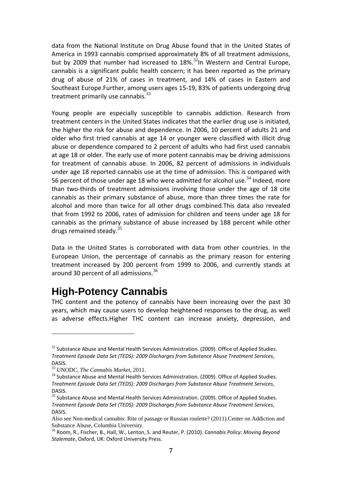data from the National Institute on Drug Abuse found that in the United States of America in 1993 cannabis comprised approximately 8% of all treatment admissions, but by 2009 that number had increased to  $18\%$ <sup>32</sup>In Western and Central Europe. cannabis is a significant public health concern; it has been reported as the primary drug of abuse of 21% of cases in treatment, and 14% of cases in Eastern and Southeast Europe.Further, among users ages 15‐19, 83% of patients undergoing drug treatment primarily use cannabis. $^{33}$ 

Young people are especially susceptible to cannabis addiction. Research from treatment centers in the United States indicates that the earlier drug use is initiated, the higher the risk for abuse and dependence. In 2006, 10 percent of adults 21 and older who first tried cannabis at age 14 or younger were classified with illicit drug abuse or dependence compared to 2 percent of adults who had first used cannabis at age 18 or older. The early use of more potent cannabis may be driving admissions for treatment of cannabis abuse. In 2006, 82 percent of admissions in individuals under age 18 reported cannabis use at the time of admission. This is compared with 56 percent of those under age 18 who were admitted for alcohol use.<sup>34</sup> Indeed, more than two‐thirds of treatment admissions involving those under the age of 18 cite cannabis as their primary substance of abuse, more than three times the rate for alcohol and more than twice for all other drugs combined.This data also revealed that from 1992 to 2006, rates of admission for children and teens under age 18 for cannabis as the primary substance of abuse increased by 188 percent while other drugs remained steady.<sup>35</sup>

Data in the United States is corroborated with data from other countries. In the European Union, the percentage of cannabis as the primary reason for entering treatment increased by 200 percent from 1999 to 2006, and currently stands at around 30 percent of all admissions.<sup>36</sup>

### **High-Potency Cannabis**

THC content and the potency of cannabis have been increasing over the past 30 years, which may cause users to develop heightened responses to the drug, as well as adverse effects.Higher THC content can increase anxiety, depression, and

 $32$  Substance Abuse and Mental Health Services Administration. (2009). Office of Applied Studies. *Treatment Episode Data Set (TEDS): 2009 Discharges from Substance Abuse Treatment Services*, DASIS.

<sup>33</sup> UNODC, *The Cannabis Market*, 2011.

 $34$  Substance Abuse and Mental Health Services Administration. (2009). Office of Applied Studies. *Treatment Episode Data Set (TEDS): 2009 Discharges from Substance Abuse Treatment Services*, DASIS.

<sup>&</sup>lt;sup>35</sup> Substance Abuse and Mental Health Services Administration. (2009). Office of Applied Studies. *Treatment Episode Data Set (TEDS): 2009 Discharges from Substance Abuse Treatment Services*, DASIS.

Also see Non-medical cannabis: Rite of passage or Russian roulette? (2011).Center on Addiction and Substance Abuse, Columbia University.

<sup>36</sup> Room, R., Fischer, B., Hall, W., Lenton, S. and Reuter, P. (2010). *Cannabis Policy: Moving Beyond Stalemate*, Oxford, UK: Oxford University Press.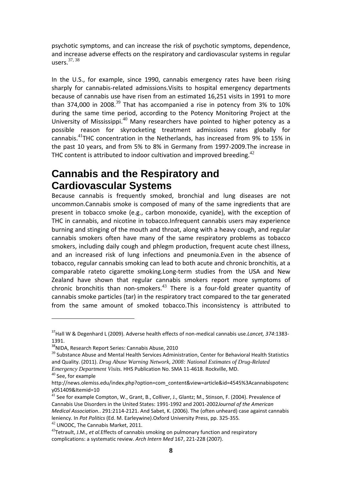psychotic symptoms, and can increase the risk of psychotic symptoms, dependence, and increase adverse effects on the respiratory and cardiovascular systems in regular users.<sup>37</sup>, <sup>38</sup>

In the U.S., for example, since 1990, cannabis emergency rates have been rising sharply for cannabis-related admissions. Visits to hospital emergency departments because of cannabis use have risen from an estimated 16,251 visits in 1991 to more than 374,000 in 2008.<sup>39</sup> That has accompanied a rise in potency from 3% to 10% during the same time period, according to the Potency Monitoring Project at the University of Mississippi.<sup>40</sup> Many researchers have pointed to higher potency as a possible reason for skyrocketing treatment admissions rates globally for cannabis.<sup>41</sup>THC concentration in the Netherlands, has increased from 9% to 15% in the past 10 years, and from 5% to 8% in Germany from 1997‐2009.The increase in THC content is attributed to indoor cultivation and improved breeding. $42$ 

### **Cannabis and the Respiratory and Cardiovascular Systems**

Because cannabis is frequently smoked, bronchial and lung diseases are not uncommon.Cannabis smoke is composed of many of the same ingredients that are present in tobacco smoke (e.g., carbon monoxide, cyanide), with the exception of THC in cannabis, and nicotine in tobacco.Infrequent cannabis users may experience burning and stinging of the mouth and throat, along with a heavy cough, and regular cannabis smokers often have many of the same respiratory problems as tobacco smokers, including daily cough and phlegm production, frequent acute chest illness, and an increased risk of lung infections and pneumonia.Even in the absence of tobacco, regular cannabis smoking can lead to both acute and chronic bronchitis, at a comparable rateto cigarette smoking.Long‐term studies from the USA and New Zealand have shown that regular cannabis smokers report more symptoms of chronic bronchitis than non-smokers.<sup>43</sup> There is a four-fold greater quantity of cannabis smoke particles (tar) in the respiratory tract compared to the tar generated from the same amount of smoked tobacco.This inconsistency is attributed to

<sup>37</sup>Hall W & Degenhard L (2009). Adverse health effects of non‐medical cannabis use.*Lancet, 374*:1383‐ 1391.

<sup>&</sup>lt;sup>38</sup>NIDA, Research Report Series: Cannabis Abuse, 2010

<sup>&</sup>lt;sup>39</sup> Substance Abuse and Mental Health Services Administration, Center for Behavioral Health Statistics and Quality. (2011). *Drug Abuse Warning Network, 2008: National Estimates of Drug-Related Emergency Department Visits.* HHS Publication No. SMA 11‐4618. Rockville, MD.

<sup>40</sup> See, for example

http://news.olemiss.edu/index.php?option=com\_content&view=article&id=4545%3Acannabispotenc y051409&Itemid=10

<sup>41</sup> See for example Compton, W., Grant, B., Colliver, J., Glantz; M., Stinson, F. (2004). Prevalence of Cannabis Use Disorders in the United States: 1991‐1992 and 2001‐2002*Journal of the American Medical Association.*. 291:2114‐2121. And Sabet, K. (2006). The (often unheard) case against cannabis leniency. In Pot Politics (Ed. M. Earleywine).Oxford University Press, pp. 325-355.<br><sup>42</sup> UNODC, The Cannabis Market, 2011.<br><sup>43</sup>Tetrault, J.M., *et al.* Effects of cannabis smoking on pulmonary function and respiratory

complications: a systematic review. *Arch Intern Med* 167, 221‐228 (2007).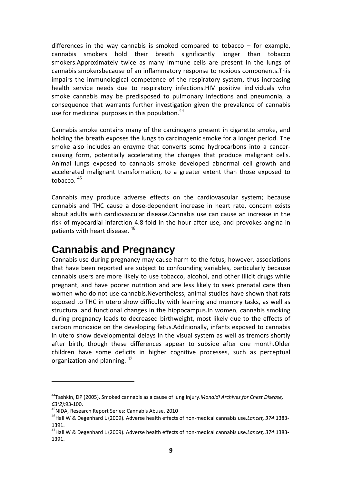differences in the way cannabis is smoked compared to tobacco  $-$  for example, cannabis smokers hold their breath significantly longer than tobacco smokers.Approximately twice as many immune cells are present in the lungs of cannabis smokersbecause of an inflammatory response to noxious components.This impairs the immunological competence of the respiratory system, thus increasing health service needs due to respiratory infections.HIV positive individuals who smoke cannabis may be predisposed to pulmonary infections and pneumonia, a consequence that warrants further investigation given the prevalence of cannabis use for medicinal purposes in this population.<sup>44</sup>

Cannabis smoke contains many of the carcinogens present in cigarette smoke, and holding the breath exposes the lungs to carcinogenic smoke for a longer period. The smoke also includes an enzyme that converts some hydrocarbons into a cancer‐ causing form, potentially accelerating the changes that produce malignant cells. Animal lungs exposed to cannabis smoke developed abnormal cell growth and accelerated malignant transformation, to a greater extent than those exposed to tobacco. <sup>45</sup>

Cannabis may produce adverse effects on the cardiovascular system; because cannabis and THC cause a dose‐dependent increase in heart rate, concern exists about adults with cardiovascular disease.Cannabis use can cause an increase in the risk of myocardial infarction 4.8‐fold in the hour after use, and provokes angina in patients with heart disease. <sup>46</sup>

### **Cannabis and Pregnancy**

Cannabis use during pregnancy may cause harm to the fetus; however, associations that have been reported are subject to confounding variables, particularly because cannabis users are more likely to use tobacco, alcohol, and other illicit drugs while pregnant, and have poorer nutrition and are less likely to seek prenatal care than women who do not use cannabis.Nevertheless, animal studies have shown that rats exposed to THC in utero show difficulty with learning and memory tasks, as well as structural and functional changes in the hippocampus.In women, cannabis smoking during pregnancy leads to decreased birthweight, most likely due to the effects of carbon monoxide on the developing fetus.Additionally, infants exposed to cannabis in utero show developmental delays in the visual system as well as tremors shortly after birth, though these differences appear to subside after one month.Older children have some deficits in higher cognitive processes, such as perceptual organization and planning. <sup>47</sup>

<sup>44</sup>Tashkin, DP (2005). Smoked cannabis as a cause of lung injury.*Monaldi Archives for Chest Disease,* 63(2):93-100.<br><sup>45</sup>NIDA, Research Report Series: Cannabis Abuse, 2010<br><sup>46</sup>Hall W & Degenhard L (2009). Adverse health effects of non-medical cannabis use.*Lancet, 374*:1383-

<sup>1391.</sup>

<sup>47</sup>Hall W & Degenhard L (2009). Adverse health effects of non‐medical cannabis use.*Lancet, 374*:1383‐ 1391.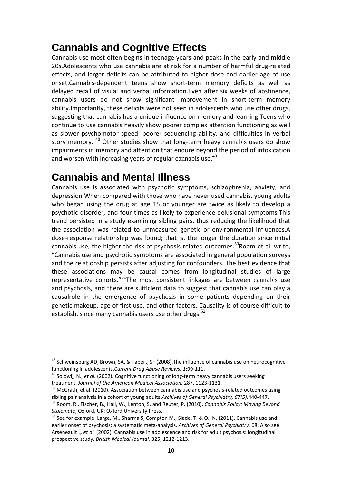### **Cannabis and Cognitive Effects**

Cannabis use most often begins in teenage years and peaks in the early and middle 20s.Adolescents who use cannabis are at risk for a number of harmful drug-related effects, and larger deficits can be attributed to higher dose and earlier age of use onset.Cannabis‐dependent teens show short‐term memory deficits as well as delayed recall of visual and verbal information.Even after six weeks of abstinence, cannabis users do not show significant improvement in short-term memory ability.Importantly, these deficits were not seen in adolescents who use other drugs, suggesting that cannabis has a unique influence on memory and learning.Teens who continue to use cannabis heavily show poorer complex attention functioning as well as slower psychomotor speed, poorer sequencing ability, and difficulties in verbal story memory.  $48$  Other studies show that long-term heavy cannabis users do show impairments in memory and attention that endure beyond the period of intoxication and worsen with increasing years of regular cannabis use. $49$ 

### **Cannabis and Mental Illness**

Cannabis use is associated with psychotic symptoms, schizophrenia, anxiety, and depression.When compared with those who have never used cannabis, young adults who began using the drug at age 15 or younger are twice as likely to develop a psychotic disorder, and four times as likely to experience delusional symptoms.This trend persisted in a study examining sibling pairs, thus reducing the likelihood that the association was related to unmeasured genetic or environmental influences.A dose‐response relationship was found; that is, the longer the duration since initial cannabis use, the higher the risk of psychosis-related outcomes.<sup>50</sup>Room et al. write, "Cannabis use and psychotic symptoms are associated in general population surveys and the relationship persists after adjusting for confounders. The best evidence that these associations may be causal comes from longitudinal studies of large representative cohorts."<sup>51</sup>The most consistent linkages are between cannabis use and psychosis, and there are sufficient data to suggest that cannabis use can play a causalrole in the emergence of psychosis in some patients depending on their genetic makeup, age of first use, and other factors. Causality is of course difficult to establish, since many cannabis users use other drugs. $52$ 

<sup>&</sup>lt;sup>48</sup> Schweinsburg AD. Brown, SA, & Tapert, SF (2008). The influence of cannabis use on neurocognitive functioning in adolescents.*Current Drug Abuse Reviews, 1*:99‐111.

<sup>49</sup> Solowij, N.*, et al.* (2002). Cognitive functioning of long‐term heavy cannabis users seeking treatment. *Journal of the American Medical Association,* 287, 1123‐1131.

 $50$  McGrath, et al. (2010). Association between cannabis use and psychosis-related outcomes using sibling pair analysis in a cohort of young adults.*Archives of General Psychiatry, 67(5):*440‐447.

<sup>51</sup> Room, R., Fischer, B., Hall, W., Lenton, S. and Reuter, P. (2010). *Cannabis Policy: Moving Beyond Stalemate*, Oxford, UK: Oxford University Press.

<sup>52</sup> See for example: Large, M., Sharma S, Compton M., Slade, T. & O., N. (2011). Cannabis use and earlier onset of psychosis: a systematic meta‐analysis. *Archives of General Psychiatry.* 68. Also see Arseneault L*, et al.* (2002). Cannabis use in adolescence and risk for adult psychosis: longitudinal prospective study. *British Medical Journal.* 325, 1212‐1213.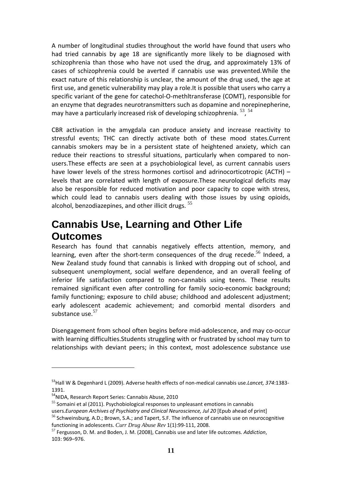A number of longitudinal studies throughout the world have found that users who had tried cannabis by age 18 are significantly more likely to be diagnosed with schizophrenia than those who have not used the drug, and approximately 13% of cases of schizophrenia could be averted if cannabis use was prevented.While the exact nature of this relationship is unclear, the amount of the drug used, the age at first use, and genetic vulnerability may play a role.It is possible that users who carry a specific variant of the gene for catechol-O-methltransferase (COMT), responsible for an enzyme that degrades neurotransmitters such as dopamine and norepinepherine, may have a particularly increased risk of developing schizophrenia. <sup>53</sup>, <sup>54</sup>

CBR activation in the amygdala can produce anxiety and increase reactivity to stressful events; THC can directly activate both of these mood states.Current cannabis smokers may be in a persistent state of heightened anxiety, which can reduce their reactions to stressful situations, particularly when compared to non‐ users.These effects are seen at a psychobiological level, as current cannabis users have lower levels of the stress hormones cortisol and adrinocorticotropic (ACTH) – levels that are correlated with length of exposure.These neurological deficits may also be responsible for reduced motivation and poor capacity to cope with stress, which could lead to cannabis users dealing with those issues by using opioids, alcohol, benzodiazepines, and other illicit drugs.  $55$ 

### **Cannabis Use, Learning and Other Life Outcomes**

Research has found that cannabis negatively effects attention, memory, and learning, even after the short-term consequences of the drug recede.<sup>56</sup> Indeed, a New Zealand study found that cannabis is linked with dropping out of school, and subsequent unemployment, social welfare dependence, and an overall feeling of inferior life satisfaction compared to non-cannabis using teens. These results remained significant even after controlling for family socio‐economic background; family functioning; exposure to child abuse; childhood and adolescent adjustment; early adolescent academic achievement; and comorbid mental disorders and substance use.<sup>57</sup>

Disengagement from school often begins before mid‐adolescence, and may co‐occur with learning difficulties.Students struggling with or frustrated by school may turn to relationships with deviant peers; in this context, most adolescence substance use

<sup>53</sup>Hall W & Degenhard L (2009). Adverse health effects of non‐medical cannabis use.*Lancet, 374*:1383‐ 1391.

<sup>&</sup>lt;sup>54</sup>NIDA, Research Report Series: Cannabis Abuse, 2010

<sup>&</sup>lt;sup>55</sup> Somaini et al (2011). Psychobiological responses to unpleasant emotions in cannabis users.*European Archives of Psychiatry and Clinical Neuroscience, Jul 20* [Epub ahead of print]

<sup>&</sup>lt;sup>56</sup> Schweinsburg, A.D.; Brown, S.A.; and Tapert, S.F. The influence of cannabis use on neurocognitive functioning in adolescents. *Curr Drug Abuse Rev* 1(1):99-111, 2008.<br><sup>57</sup> Fergusson, D. M. and Boden, J. M. (2008), Cannabis use and later life outcomes. *Addiction*,

<sup>103:</sup> 969–976.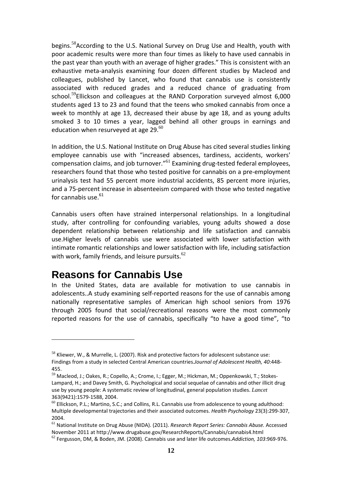begins.<sup>58</sup>According to the U.S. National Survey on Drug Use and Health, youth with poor academic results were more than four times as likely to have used cannabis in the past year than youth with an average of higher grades." This is consistent with an exhaustive meta‐analysis examining four dozen different studies by Macleod and colleagues, published by Lancet, who found that cannabis use is consistently associated with reduced grades and a reduced chance of graduating from school.<sup>59</sup>Ellickson and colleagues at the RAND Corporation surveyed almost 6,000 students aged 13 to 23 and found that the teens who smoked cannabis from once a week to monthly at age 13, decreased their abuse by age 18, and as young adults smoked 3 to 10 times a year, lagged behind all other groups in earnings and education when resurveyed at age  $29.^{60}$ 

In addition, the U.S. National Institute on Drug Abuse has cited several studies linking employee cannabis use with "increased absences, tardiness, accidents, workers' compensation claims, and job turnover."<sup>61</sup> Examining drug-tested federal employees, researchers found that those who tested positive for cannabis on a pre‐employment urinalysis test had 55 percent more industrial accidents, 85 percent more injuries, and a 75‐percent increase in absenteeism compared with those who tested negative for cannabis use. $61$ 

Cannabis users often have strained interpersonal relationships. In a longitudinal study, after controlling for confounding variables, young adults showed a dose dependent relationship between relationship and life satisfaction and cannabis use.Higher levels of cannabis use were associated with lower satisfaction with intimate romantic relationships and lower satisfaction with life, including satisfaction with work, family friends, and leisure pursuits. $62$ 

### **Reasons for Cannabis Use**

In the United States, data are available for motivation to use cannabis in adolescents..A study examining self‐reported reasons for the use of cannabis among nationally representative samples of American high school seniors from 1976 through 2005 found that social/recreational reasons were the most commonly reported reasons for the use of cannabis, specifically "to have a good time", "to

<sup>&</sup>lt;sup>58</sup> Kliewer, W., & Murrelle, L. (2007). Risk and protective factors for adolescent substance use: Findings from a study in selected Central American countries.*Journal of Adolescent Health, 40*:448‐ 455.

<sup>59</sup> Macleod, J.; Oakes, R.; Copello, A.; Crome, I.; Egger, M.; Hickman, M.; Oppenkowski, T.; Stokes‐ Lampard, H.; and Davey Smith, G. Psychological and social sequelae of cannabis and other illicit drug use by young people: A systematic review of longitudinal, general population studies. *Lancet* 363(9421):1579‐1588, 2004.

 $^{60}$  Ellickson, P.L.; Martino, S.C.; and Collins, R.L. Cannabis use from adolescence to young adulthood: Multiple developmental trajectories and their associated outcomes. *Health Psychology* 23(3):299‐307, 2004.

<sup>61</sup> National Institute on Drug Abuse (NIDA). (2011). *Research Report Series: Cannabis Abuse.* Accessed November 2011 at http://www.drugabuse.gov/ResearchReports/Cannabis/cannabis4.html

<sup>62</sup> Fergusson, DM, & Boden, JM. (2008). Cannabis use and later life outcomes.*Addiction, 103*:969‐976.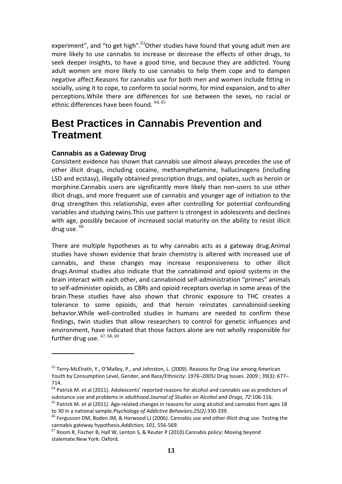experiment", and "to get high". $63$ Other studies have found that young adult men are more likely to use cannabis to increase or decrease the effects of other drugs, to seek deeper insights, to have a good time, and because they are addicted. Young adult women are more likely to use cannabis to help them cope and to dampen negative affect.Reasons for cannabis use for both men and women include fitting in socially, using it to cope, to conform to social norms, for mind expansion, and to alter perceptions.While there are differences for use between the sexes, no racial or ethnic differences have been found. <sup>64, 65</sup>

### **Best Practices in Cannabis Prevention and Treatment**

#### **Cannabis as a Gateway Drug**

Consistent evidence has shown that cannabis use almost always precedes the use of other illicit drugs, including cocaine, methamphetamine, hallucinogens (including LSD and ecstasy), illegally obtained prescription drugs, and opiates, such as heroin or morphine.Cannabis users are significantly more likely than non‐users to use other illicit drugs, and more frequent use of cannabis and younger age of initiation to the drug strengthen this relationship, even after controlling for potential confounding variables and studying twins.This use pattern is strongest in adolescents and declines with age, possibly because of increased social maturity on the ability to resist illicit drug use.  $66$ 

There are multiple hypotheses as to why cannabis acts as a gateway drug.Animal studies have shown evidence that brain chemistry is altered with increased use of cannabis, and these changes may increase responsiveness to other illicit drugs.Animal studies also indicate that the cannabinoid and opioid systems in the brain interact with each other, and cannabinoid self‐administration "primes" animals to self‐administer opioids, as CBRs and opioid receptors overlap in some areas of the brain.These studies have also shown that chronic exposure to THC creates a tolerance to some opioids, and that heroin reinstates cannabinoid‐seeking behavior. While well-controlled studies in humans are needed to confirm these findings, twin studies that allow researchers to control for genetic influences and environment, have indicated that those factors alone are not wholly responsible for further drug use.  $67, 68, 69$ 

 $63$  Terry-McElrath, Y., O'Malley, P., and Johnston, L. (2009). Reasons for Drug Use among American Youth by Consumption Level, Gender, and Race/Ethnicity: 1976–2005J Drug Issues. 2009 ; 39(3): 677– 714.

<sup>&</sup>lt;sup>64</sup> Patrick M. et al (2011). Adolescents' reported reasons for alcohol and cannabis use as predictors of substance use and problems in adulthood.*Journal of Studies on Alcohol and Drugs, 72*:106‐116.

 $65$  Patrick M. et al (2011). Age-related changes in reasons for using alcohol and cannabis from ages 18 to 30 in a national sample.*Psychology of Addictive Behaviors;25(2):*330‐339.

 $66$  Fergusson DM, Boden JM, & Horwood LJ (2006). Cannabis use and other illicit drug use: Testing the cannabis gateway hypothesis.Addiction, 101, 556-569.<br><sup>67</sup> Room R, Fischer B, Hall W, Lenton S, & Reuter P (2010).Cannabis policy: Moving beyond

stalemate.New York: Oxford.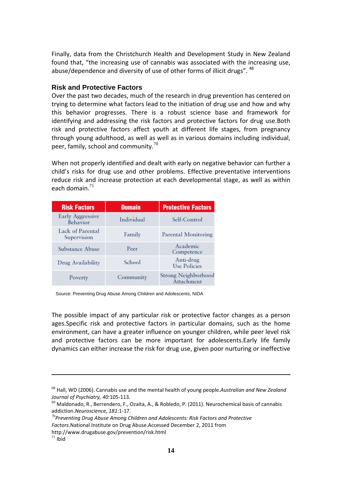Finally, data from the Christchurch Health and Development Study in New Zealand found that, "the increasing use of cannabis was associated with the increasing use, abuse/dependence and diversity of use of other forms of illicit drugs". <sup>48</sup>

#### **Risk and Protective Factors**

Over the past two decades, much of the research in drug prevention has centered on trying to determine what factors lead to the initiation of drug use and how and why this behavior progresses. There is a robust science base and framework for identifying and addressing the risk factors and protective factors for drug use.Both risk and protective factors affect youth at different life stages, from pregnancy through young adulthood, as well as well as in various domains including individual, peer, family, school and community. $70<sup>70</sup>$ 

When not properly identified and dealt with early on negative behavior can further a child's risks for drug use and other problems. Effective preventative interventions reduce risk and increase protection at each developmental stage, as well as within each domain. $71$ 

| <b>Risk Factors</b>             | <b>Domain</b> | <b>Protective Factors</b>                |
|---------------------------------|---------------|------------------------------------------|
| Early Aggressive<br>Behavior    | Individual    | Self-Control                             |
| Lack of Parental<br>Supervision | Family        | Parental Monitoring                      |
| Substance Abuse                 | Peer          | Academic<br>Competence                   |
| Drug Availability               | School        | Anti-drug<br><b>Use Policies</b>         |
| Poverty                         | Community     | <b>Strong Neighborhood</b><br>Attachment |

Source: Preventing Drug Abuse Among Children and Adolescents, NIDA

The possible impact of any particular risk or protective factor changes as a person ages.Specific risk and protective factors in particular domains, such as the home environment, can have a greater influence on younger children, while peer level risk and protective factors can be more important for adolescents.Early life family dynamics can either increase the risk for drug use, given poor nurturing or ineffective

<sup>68</sup> Hall, WD (2006). Cannabis use and the mental health of young people.*Australian and New Zealand Journal of Psychiatry, 40*:105‐113.

 $^{69}$  Maldonado, R., Berrendero, F., Ozaita, A., & Robledo, P. (2011). Neurochemical basis of cannabis addiction.*Neuroscience, 181*:1‐17.

<sup>70</sup>*Preventing Drug Abuse Among Children and Adolescents: Risk Factors and Protective Factors*.National Institute on Drug Abuse.Accessed December 2, 2011 from http://www.drugabuse.gov/prevention/risk.html

 $71$  Ibid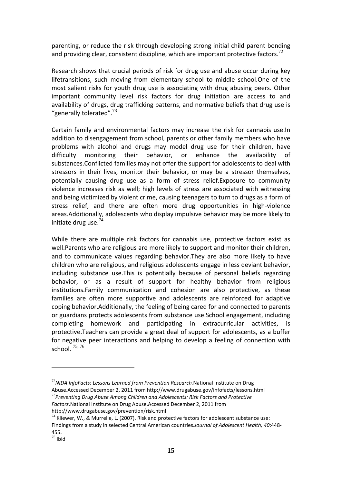parenting, or reduce the risk through developing strong initial child parent bonding and providing clear, consistent discipline, which are important protective factors.<sup>72</sup>

Research shows that crucial periods of risk for drug use and abuse occur during key lifetransitions, such moving from elementary school to middle school.One of the most salient risks for youth drug use is associating with drug abusing peers. Other important community level risk factors for drug initiation are access to and availability of drugs, drug trafficking patterns, and normative beliefs that drug use is "generally tolerated".<sup>73</sup>

Certain family and environmental factors may increase the risk for cannabis use.In addition to disengagement from school, parents or other family members who have problems with alcohol and drugs may model drug use for their children, have difficulty monitoring their behavior, or enhance the availability of substances.Conflicted families may not offer the support for adolescents to deal with stressors in their lives, monitor their behavior, or may be a stressor themselves, potentially causing drug use as a form of stress relief.Exposure to community violence increases risk as well; high levels of stress are associated with witnessing and being victimized by violent crime, causing teenagers to turn to drugs as a form of stress relief, and there are often more drug opportunities in high-violence areas.Additionally, adolescents who display impulsive behavior may be more likely to initiate drug use. $74$ 

While there are multiple risk factors for cannabis use, protective factors exist as well.Parents who are religious are more likely to support and monitor their children, and to communicate values regarding behavior.They are also more likely to have children who are religious, and religious adolescents engage in less deviant behavior, including substance use.This is potentially because of personal beliefs regarding behavior, or as a result of support for healthy behavior from religious institutions.Family communication and cohesion are also protective, as these families are often more supportive and adolescents are reinforced for adaptive coping behavior.Additionally, the feeling of being cared for and connected to parents or guardians protects adolescents from substance use.School engagement, including completing homework and participating in extracurricular activities, is protective.Teachers can provide a great deal of support for adolescents, as a buffer for negative peer interactions and helping to develop a feeling of connection with school.  $75,76$ 

<sup>72</sup>*NIDA InfoFacts: Lessons Learned from Prevention Research.*National Institute on Drug Abuse.Accessed December 2, 2011 from http://www.drugabuse.gov/infofacts/lessons.html<br><sup>73</sup> Preventing Drug Abuse Among Children and Adolescents: Risk Factors and Protective

*Factors*.National Institute on Drug Abuse.Accessed December 2, 2011 from http://www.drugabuse.gov/prevention/risk.html

 $74$  Kliewer, W., & Murrelle, L. (2007). Risk and protective factors for adolescent substance use: Findings from a study in selected Central American countries.*Journal of Adolescent Health, 40*:448‐ 455.

 $75$  Ibid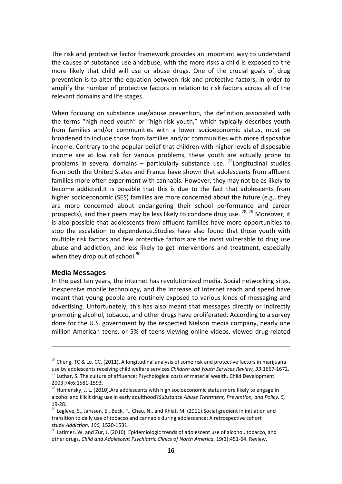The risk and protective factor framework provides an important way to understand the causes of substance use andabuse, with the more risks a child is exposed to the more likely that child will use or abuse drugs. One of the crucial goals of drug prevention is to alter the equation between risk and protective factors, in order to amplify the number of protective factors in relation to risk factors across all of the relevant domains and life stages.

When focusing on substance use/abuse prevention, the definition associated with the terms "high need youth" or "high‐risk youth," which typically describes youth from families and/or communities with a lower socioeconomic status, must be broadened to include those from families and/or communities with more disposable income. Contrary to the popular belief that children with higher levels of disposable income are at low risk for various problems, these youth are actually prone to problems in several domains – particularly substance use.  $\frac{7}{1}$  Longitudinal studies from both the United States and France have shown that adolescents from affluent families more often experiment with cannabis. However, they may not be as likely to become addicted.It is possible that this is due to the fact that adolescents from higher socioeconomic (SES) families are more concerned about the future (e.g., they are more concerned about endangering their school performance and career prospects), and their peers may be less likely to condone drug use.  $^{78, 79}$  Moreover, it is also possible that adolescents from affluent families have more opportunities to stop the escalation to dependence.Studies have also found that those youth with multiple risk factors and few protective factors are the most vulnerable to drug use abuse and addiction, and less likely to get interventions and treatment, especially when they drop out of school. $80$ 

#### **Media Messages**

In the past ten years, the internet has revolutionized media. Social networking sites, inexpensive mobile technology, and the increase of internet reach and speed have meant that young people are routinely exposed to various kinds of messaging and advertising. Unfortunately, this has also meant that messages directly or indirectly promoting alcohol, tobacco, and other drugs have proliferated. According to a survey done for the U.S. government by the respected Nielson media company, nearly one million American teens, or 5% of teens viewing online videos, viewed drug-related

<sup>&</sup>lt;sup>76</sup> Cheng, TC & Lo, CC, (2011). A longitudinal analysis of some risk and protective factors in marijuana use by adolescents receiving child welfare services.*Children and Youth Services Review, 33*:1667‐1672.  $77$  Luthar, S. The culture of affluence; Psychological costs of material wealth. Child Development.

<sup>2003:74:6:1581</sup>‐1593.

 $^{78}$  Humensky, J. L. (2010). Are adolescents with high socioeconomic status more likely to engage in alcohol and illicit drug use in early adulthood?*Substance Abuse Treatment, Prevention, and Policy, 5,* 19-28.<br><sup>79</sup> Legleye, S., Janssen, E., Beck, F., Chau, N., and Khlat, M. (2011).Social gradient in initiation and

transition to daily use of tobacco and cannabis during adolescence: A retrospective cohort study.Addiction, 106, 1520-1531.<br><sup>80</sup> Latimer, W. and Zur, J. (2010). Epidemiologic trends of adolescent use of alcohol, tobacco, and

other drugs. *Child and Adolescent Psychiatric Clinics of North America.* 19(3):451‐64. Review.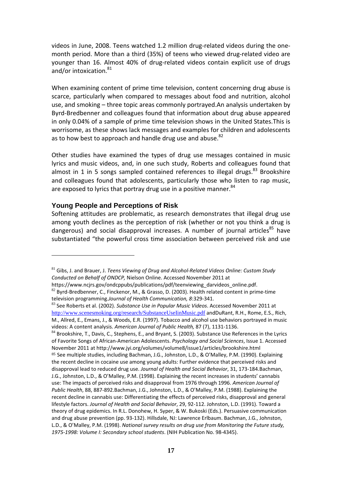videos in June, 2008. Teens watched 1.2 million drug-related videos during the onemonth period. More than a third (35%) of teens who viewed drug‐related video are younger than 16. Almost 40% of drug‐related videos contain explicit use of drugs and/or intoxication.<sup>81</sup>

When examining content of prime time television, content concerning drug abuse is scarce, particularly when compared to messages about food and nutrition, alcohol use, and smoking – three topic areas commonly portrayed.An analysis undertaken by Byrd‐Bredbenner and colleagues found that information about drug abuse appeared in only 0.04% of a sample of prime time television shows in the United States.This is worrisome, as these shows lack messages and examples for children and adolescents as to how best to approach and handle drug use and abuse.<sup>82</sup>

Other studies have examined the types of drug use messages contained in music lyrics and music videos, and, in one such study, Roberts and colleagues found that almost in 1 in 5 songs sampled contained references to illegal drugs.<sup>83</sup> Brookshire and colleagues found that adolescents, particularly those who listen to rap music, are exposed to lyrics that portray drug use in a positive manner.  $84$ 

#### **Young People and Perceptions of Risk**

Softening attitudes are problematic, as research demonstrates that illegal drug use among youth declines as the perception of risk (whether or not you think a drug is dangerous) and social disapproval increases. A number of journal articles<sup>85</sup> have substantiated "the powerful cross time association between perceived risk and use

<sup>81</sup> Gibs, J. and Brauer, J. *Teens Viewing of Drug and Alcohol‐Related Videos Online: Custom Study Conducted on Behalf of ONDCP,* Nielson Online. Accessed November 2011 at

https://www.ncjrs.gov/ondcppubs/publications/pdf/teenviewing\_darvideos\_online.pdf.<br><sup>82</sup> Byrd-Bredbenner, C., Finckenor, M., & Grasso, D. (2003). Health related content in prime-time television programming Journal of Health Communication, 8:329-341.<br><sup>83</sup> See Roberts et al. (2002). Substance Use in Popular Music Videos. Accessed November 2011 at

http://www.scenesmoking.org/research/SubstanceUseIinMusic.pdf andDuRant, R.H., Rome, E.S., Rich, M., Allred, E., Emans, J., & Woods, E.R. (1997). Tobacco and alcohol use behaviors portrayed in music videos: A content analysis. *American Journal of Public Health,* 87 (7), 1131-1136.<br><sup>84</sup> Brookshire, T., Davis, C., Stephens, E., and Bryant, S. (2003). Substance Use References in the Lyrics

of Favorite Songs of African‐American Adolescents. *Psychology and Social Sciences*, Issue 1. Accessed November 2011 at http://www.jyi.org/volumes/volume8/issue1/articles/brookshire.html 85 See multiple studies, including Bachman, J.G., Johnston, L.D., & O'Malley, P.M. (1990). Explaining the recent decline in cocaine use among young adults: Further evidence that perceived risks and disapproval lead to reduced drug use. *Journal of Health and Social Behavior*, 31, 173‐184.Bachman, J.G., Johnston, L.D., & O'Malley, P.M. (1998). Explaining the recent increases in students' cannabis use: The impacts of perceived risks and disapproval from 1976 through 1996. *American Journal of Public Health*, 88, 887‐892.Bachman, J.G., Johnston, L.D., & O'Malley, P.M. (1988). Explaining the recent decline in cannabis use: Differentiating the effects of perceived risks, disapproval and general lifestyle factors. *Journal of Health and Social Behavior*, 29, 92‐112. Johnston, L.D. (1991). Toward a theory of drug epidemics. In R.L. Donohew, H. Syper, & W. Bukoski (Eds.). Persuasive communication and drug abuse prevention (pp. 93‐132). Hillsdale, NJ: Lawrence Erlbaum. Bachman, J.G., Johnston, L.D., & O'Malley, P.M. (1998). *National survey results on drug use from Monitoring the Future study, 1975‐1998: Volume I: Secondary school students*. (NIH Publication No. 98‐4345).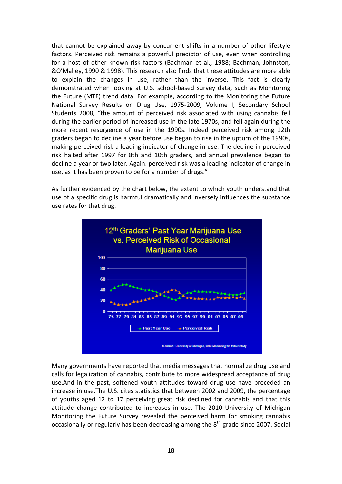that cannot be explained away by concurrent shifts in a number of other lifestyle factors. Perceived risk remains a powerful predictor of use, even when controlling for a host of other known risk factors (Bachman et al., 1988; Bachman, Johnston, &O'Malley, 1990 & 1998). This research also finds that these attitudes are more able to explain the changes in use, rather than the inverse. This fact is clearly demonstrated when looking at U.S. school‐based survey data, such as Monitoring the Future (MTF) trend data. For example, according to the Monitoring the Future National Survey Results on Drug Use, 1975‐2009, Volume I, Secondary School Students 2008, "the amount of perceived risk associated with using cannabis fell during the earlier period of increased use in the late 1970s, and fell again during the more recent resurgence of use in the 1990s. Indeed perceived risk among 12th graders began to decline a year before use began to rise in the upturn of the 1990s, making perceived risk a leading indicator of change in use. The decline in perceived risk halted after 1997 for 8th and 10th graders, and annual prevalence began to decline a year or two later. Again, perceived risk was a leading indicator of change in use, as it has been proven to be for a number of drugs."

As further evidenced by the chart below, the extent to which youth understand that use of a specific drug is harmful dramatically and inversely influences the substance use rates for that drug.



Many governments have reported that media messages that normalize drug use and calls for legalization of cannabis, contribute to more widespread acceptance of drug use.And in the past, softened youth attitudes toward drug use have preceded an increase in use.The U.S. cites statistics that between 2002 and 2009, the percentage of youths aged 12 to 17 perceiving great risk declined for cannabis and that this attitude change contributed to increases in use. The 2010 University of Michigan Monitoring the Future Survey revealed the perceived harm for smoking cannabis occasionally or regularly has been decreasing among the  $8<sup>th</sup>$  grade since 2007. Social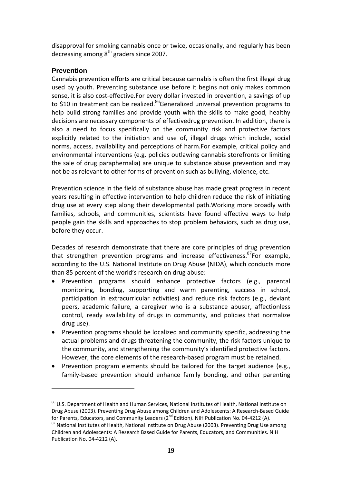disapproval for smoking cannabis once or twice, occasionally, and regularly has been decreasing among  $8<sup>th</sup>$  graders since 2007.

#### **Prevention**

Cannabis prevention efforts are critical because cannabis is often the first illegal drug used by youth. Preventing substance use before it begins not only makes common sense, it is also cost-effective.For every dollar invested in prevention, a savings of up to \$10 in treatment can be realized.<sup>86</sup>Generalized universal prevention programs to help build strong families and provide youth with the skills to make good, healthy decisions are necessary components of effectivedrug prevention. In addition, there is also a need to focus specifically on the community risk and protective factors explicitly related to the initiation and use of, illegal drugs which include, social norms, access, availability and perceptions of harm.For example, critical policy and environmental interventions (e.g. policies outlawing cannabis storefronts or limiting the sale of drug paraphernalia) are unique to substance abuse prevention and may not be as relevant to other forms of prevention such as bullying, violence, etc.

Prevention science in the field of substance abuse has made great progress in recent years resulting in effective intervention to help children reduce the risk of initiating drug use at every step along their developmental path.Working more broadly with families, schools, and communities, scientists have found effective ways to help people gain the skills and approaches to stop problem behaviors, such as drug use, before they occur.

Decades of research demonstrate that there are core principles of drug prevention that strengthen prevention programs and increase effectiveness. $87$ For example, according to the U.S. National Institute on Drug Abuse (NIDA), which conducts more than 85 percent of the world's research on drug abuse:

- Prevention programs should enhance protective factors (e.g., parental monitoring, bonding, supporting and warm parenting, success in school, participation in extracurricular activities) and reduce risk factors (e.g., deviant peers, academic failure, a caregiver who is a substance abuser, affectionless control, ready availability of drugs in community, and policies that normalize drug use).
- Prevention programs should be localized and community specific, addressing the actual problems and drugs threatening the community, the risk factors unique to the community, and strengthening the community's identified protective factors. However, the core elements of the research‐based program must be retained.
- Prevention program elements should be tailored for the target audience (e.g., family-based prevention should enhance family bonding, and other parenting

<sup>86</sup> U.S. Department of Health and Human Services, National Institutes of Health, National Institute on Drug Abuse (2003). Preventing Drug Abuse among Children and Adolescents: A Research‐Based Guide for Parents, Educators, and Community Leaders (2<sup>nd</sup> Edition). NIH Publication No. 04-4212 (A).<br><sup>87</sup> National Institutes of Health, National Institute on Drug Abuse (2003). Preventing Drug Use among

Children and Adolescents: A Research Based Guide for Parents, Educators, and Communities. NIH Publication No. 04‐4212 (A).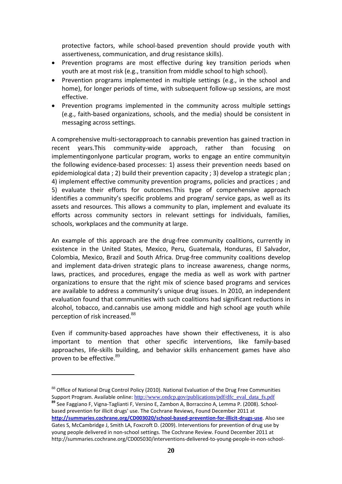protective factors, while school‐based prevention should provide youth with assertiveness, communication, and drug resistance skills).

- Prevention programs are most effective during key transition periods when youth are at most risk (e.g., transition from middle school to high school).
- Prevention programs implemented in multiple settings (e.g., in the school and home), for longer periods of time, with subsequent follow-up sessions, are most effective.
- Prevention programs implemented in the community across multiple settings (e.g., faith‐based organizations, schools, and the media) should be consistent in messaging across settings.

A comprehensive multi‐sectorapproach to cannabis prevention has gained traction in recent years.This community-wide approach, rather than focusing on implementingonlyone particular program, works to engage an entire communityin the following evidence‐based processes: 1) assess their prevention needs based on epidemiological data ; 2) build their prevention capacity ; 3) develop a strategic plan ; 4) implement effective community prevention programs, policies and practices ; and 5) evaluate their efforts for outcomes.This type of comprehensive approach identifies a community's specific problems and program/ service gaps, as well as its assets and resources. This allows a community to plan, implement and evaluate its efforts across community sectors in relevant settings for individuals, families, schools, workplaces and the community at large.

An example of this approach are the drug‐free community coalitions, currently in existence in the United States, Mexico, Peru, Guatemala, Honduras, El Salvador, Colombia, Mexico, Brazil and South Africa. Drug‐free community coalitions develop and implement data‐driven strategic plans to increase awareness, change norms, laws, practices, and procedures, engage the media as well as work with partner organizations to ensure that the right mix of science based programs and services are available to address a community's unique drug issues. In 2010, an independent evaluation found that communities with such coalitions had significant reductions in alcohol, tobacco, and.cannabis use among middle and high school age youth while perception of risk increased.<sup>88</sup>

Even if community-based approaches have shown their effectiveness, it is also important to mention that other specific interventions, like family-based approaches, life‐skills building, and behavior skills enhancement games have also proven to be effective.<sup>89</sup>

<sup>88</sup> Office of National Drug Control Policy (2010). National Evaluation of the Drug Free Communities Support Program. Available online: http://www.ondcp.gov/publications/pdf/dfc\_eval\_data\_fs.pdf <sup>89</sup> See Faggiano F, Vigna-Taglianti F, Versino E, Zambon A, Borraccino A, Lemma P. (2008). School-

based prevention for illicit drugs' use. The Cochrane Reviews, Found December 2011 at **http://summaries.cochrane.org/CD003020/school‐based‐prevention‐for‐illicit‐drugs‐use**. Also see

Gates S, McCambridge J, Smith LA, Foxcroft D. (2009). Interventions for prevention of drug use by young people delivered in non‐school settings. The Cochrane Review. Found December 2011 at http://summaries.cochrane.org/CD005030/interventions‐delivered‐to‐young‐people‐in‐non‐school‐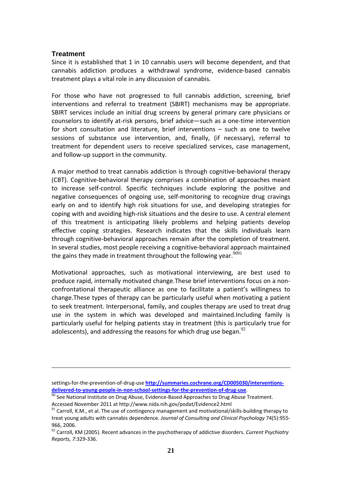#### **Treatment**

Since it is established that 1 in 10 cannabis users will become dependent, and that cannabis addiction produces a withdrawal syndrome, evidence‐based cannabis treatment plays a vital role in any discussion of cannabis.

For those who have not progressed to full cannabis addiction, screening, brief interventions and referral to treatment (SBIRT) mechanisms may be appropriate. SBIRT services include an initial drug screens by general primary care physicians or counselors to identify at‐risk persons, brief advice—such as a one‐time intervention for short consultation and literature, brief interventions – such as one to twelve sessions of substance use intervention, and, finally, (if necessary), referral to treatment for dependent users to receive specialized services, case management, and follow‐up support in the community.

A major method to treat cannabis addiction is through cognitive‐behavioral therapy (CBT). Cognitive‐behavioral therapy comprises a combination of approaches meant to increase self‐control. Specific techniques include exploring the positive and negative consequences of ongoing use, self‐monitoring to recognize drug cravings early on and to identify high risk situations for use, and developing strategies for coping with and avoiding high‐risk situations and the desire to use. A central element of this treatment is anticipating likely problems and helping patients develop effective coping strategies. Research indicates that the skills individuals learn through cognitive‐behavioral approaches remain after the completion of treatment. In several studies, most people receiving a cognitive‐behavioral approach maintained the gains they made in treatment throughout the following year.  $9091$ 

Motivational approaches, such as motivational interviewing, are best used to produce rapid, internally motivated change.These brief interventions focus on a non‐ confrontational therapeutic alliance as one to facilitate a patient's willingness to change.These types of therapy can be particularly useful when motivating a patient to seek treatment. Interpersonal, family, and couples therapy are used to treat drug use in the system in which was developed and maintained.Including family is particularly useful for helping patients stay in treatment (this is particularly true for adolescents), and addressing the reasons for which drug use began.  $92$ 

settings-for-the-prevention-of-drug-use **http://summaries.cochrane.org/CD005030/interventions-**<br>delivered-to-voung-people-in-non-school-settings-for-the-prevention-of-drug-use.

 $\frac{90}{2}$  See National Institute on Drug Abuse, Evidence-Based Approaches to Drug Abuse Treatment. Accessed November 2011 at http://www.nida.nih.gov/podat/Evidence2.html

 $91$  Carroll, K.M., et al. The use of contingency management and motivational/skills-building therapy to treat young adults with cannabis dependence. *Journal of Consulting and Clinical Psychology* 74(5):955‐ 966, 2006.

<sup>92</sup> Carroll, KM (2005). Recent advances in the psychotherapy of addictive disorders. *Current Psychiatry Reports, 7*:329‐336.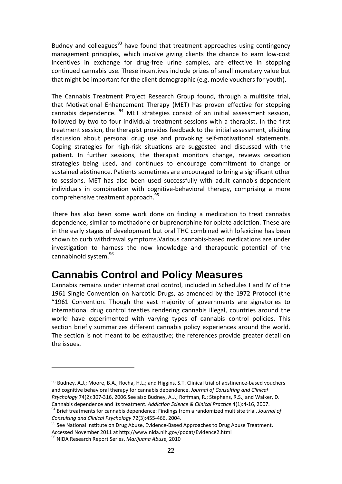Budney and colleagues<sup>93</sup> have found that treatment approaches using contingency management principles, which involve giving clients the chance to earn low‐cost incentives in exchange for drug‐free urine samples, are effective in stopping continued cannabis use. These incentives include prizes of small monetary value but that might be important for the client demographic (e.g. movie vouchers for youth).

The Cannabis Treatment Project Research Group found, through a multisite trial, that Motivational Enhancement Therapy (MET) has proven effective for stopping cannabis dependence.  $94$  MET strategies consist of an initial assessment session, followed by two to four individual treatment sessions with a therapist. In the first treatment session, the therapist provides feedback to the initial assessment, eliciting discussion about personal drug use and provoking self‐motivational statements. Coping strategies for high‐risk situations are suggested and discussed with the patient. In further sessions, the therapist monitors change, reviews cessation strategies being used, and continues to encourage commitment to change or sustained abstinence. Patients sometimes are encouraged to bring a significant other to sessions. MET has also been used successfully with adult cannabis‐dependent individuals in combination with cognitive-behavioral therapy, comprising a more comprehensive treatment approach.<sup>95</sup>

There has also been some work done on finding a medication to treat cannabis dependence, similar to methadone or buprenorphine for opiate addiction. These are in the early stages of development but oral THC combined with lofexidine has been shown to curb withdrawal symptoms.Various cannabis‐based medications are under investigation to harness the new knowledge and therapeutic potential of the cannabinoid system.<sup>96</sup>

### **Cannabis Control and Policy Measures**

Cannabis remains under international control, included in Schedules I and IV of the 1961 Single Convention on Narcotic Drugs, as amended by the 1972 Protocol (the "1961 Convention. Though the vast majority of governments are signatories to international drug control treaties rendering cannabis illegal, countries around the world have experimented with varying types of cannabis control policies. This section briefly summarizes different cannabis policy experiences around the world. The section is not meant to be exhaustive; the references provide greater detail on the issues.

<sup>93</sup> Budney, A.J.; Moore, B.A.; Rocha, H.L.; and Higgins, S.T. Clinical trial of abstinence-based vouchers and cognitive behavioral therapy for cannabis dependence. *Journal of Consulting and Clinical Psychology* 74(2):307‐316, 2006.See also Budney, A.J.; Roffman, R.; Stephens, R.S.; and Walker, D. Cannabis dependence and its treatment. Addiction Science & Clinical Practice 4(1):4-16, 2007.<br><sup>94</sup> Brief treatments for cannabis dependence: Findings from a randomized multisite trial. Journal of

*Consulting and Clinical Psychology* 72(3):455‐466, 2004.

 $95$  See National Institute on Drug Abuse, Evidence-Based Approaches to Drug Abuse Treatment. Accessed November 2011 at http://www.nida.nih.gov/podat/Evidence2.html

<sup>96</sup> NIDA Research Report Series, *Marijuana Abuse*, 2010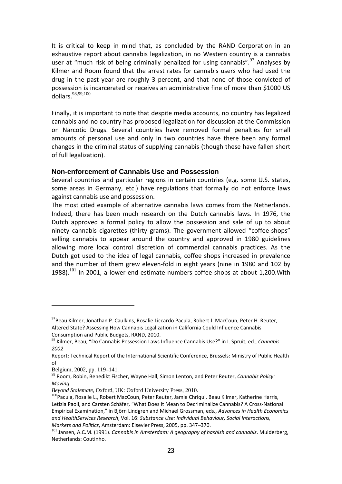It is critical to keep in mind that, as concluded by the RAND Corporation in an exhaustive report about cannabis legalization, in no Western country is a cannabis user at "much risk of being criminally penalized for using cannabis".  $97$  Analyses by Kilmer and Room found that the arrest rates for cannabis users who had used the drug in the past year are roughly 3 percent, and that none of those convicted of possession is incarcerated or receives an administrative fine of more than \$1000 US dollars<sup>98,99,100</sup>

Finally, it is important to note that despite media accounts, no country has legalized cannabis and no country has proposed legalization for discussion at the Commission on Narcotic Drugs. Several countries have removed formal penalties for small amounts of personal use and only in two countries have there been any formal changes in the criminal status of supplying cannabis (though these have fallen short of full legalization).

#### **Non-enforcement of Cannabis Use and Possession**

Several countries and particular regions in certain countries (e.g. some U.S. states, some areas in Germany, etc.) have regulations that formally do not enforce laws against cannabis use and possession.

The most cited example of alternative cannabis laws comes from the Netherlands. Indeed, there has been much research on the Dutch cannabis laws. In 1976, the Dutch approved a formal policy to allow the possession and sale of up to about ninety cannabis cigarettes (thirty grams). The government allowed "coffee‐shops" selling cannabis to appear around the country and approved in 1980 guidelines allowing more local control discretion of commercial cannabis practices. As the Dutch got used to the idea of legal cannabis, coffee shops increased in prevalence and the number of them grew eleven‐fold in eight years (nine in 1980 and 102 by 1988).<sup>101</sup> In 2001, a lower-end estimate numbers coffee shops at about 1,200. With

<sup>97</sup> Beau Kilmer, Jonathan P. Caulkins, Rosalie Liccardo Pacula, Robert J. MacCoun, Peter H. Reuter, Altered State? Assessing How Cannabis Legalization in California Could Influence Cannabis Consumption and Public Budgets, RAND, 2010.<br><sup>98</sup> Kilmer, Beau, "Do Cannabis Possession Laws Influence Cannabis Use?" in I. Spruit, ed., *Cannabis* 

*<sup>2002</sup>*

Report: Technical Report of the International Scientific Conference, Brussels: Ministry of Public Health of

Belgium, 2002, pp. 119–141.

<sup>99</sup> Room, Robin, Benedikt Fischer, Wayne Hall, Simon Lenton, and Peter Reuter, *Cannabis Policy: Moving*

*Beyond Stalemate*, Oxford, UK: Oxford University Press, 2010.

<sup>&</sup>lt;sup>100</sup> Pacula, Rosalie L., Robert MacCoun, Peter Reuter, Jamie Chriqui, Beau Kilmer, Katherine Harris, Letizia Paoli, and Carsten Schäfer, "What Does It Mean to Decriminalize Cannabis? A Cross‐National Empirical Examination," in Björn Lindgren and Michael Grossman, eds., *Advances in Health Economics and HealthServices Research*, Vol. 16: *Substance Use: Individual Behaviour, Social Interactions,* Markets and Politics, Amsterdam: Elsevier Press, 2005, pp. 347–370.<br><sup>101</sup> Jansen, A.C.M. (1991). Cannabis in Amsterdam: A geography of hashish and cannabis. Muiderberg,

Netherlands: Coutinho.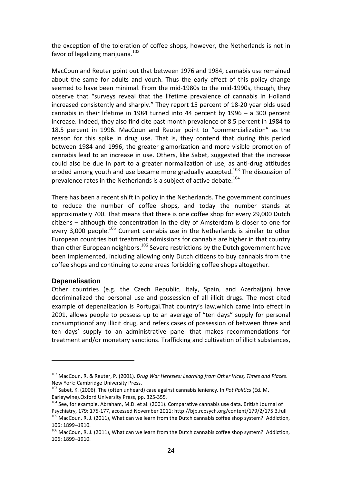the exception of the toleration of coffee shops, however, the Netherlands is not in favor of legalizing marijuana. $102$ 

MacCoun and Reuter point out that between 1976 and 1984, cannabis use remained about the same for adults and youth. Thus the early effect of this policy change seemed to have been minimal. From the mid‐1980s to the mid‐1990s, though, they observe that "surveys reveal that the lifetime prevalence of cannabis in Holland increased consistently and sharply." They report 15 percent of 18‐20 year olds used cannabis in their lifetime in 1984 turned into 44 percent by 1996 – a 300 percent increase. Indeed, they also find cite past‐month prevalence of 8.5 percent in 1984 to 18.5 percent in 1996. MacCoun and Reuter point to "commercialization" as the reason for this spike in drug use. That is, they contend that during this period between 1984 and 1996, the greater glamorization and more visible promotion of cannabis lead to an increase in use. Others, like Sabet, suggested that the increase could also be due in part to a greater normalization of use, as anti‐drug attitudes eroded among youth and use became more gradually accepted.<sup>103</sup> The discussion of prevalence rates in the Netherlands is a subject of active debate.<sup>104</sup>

There has been a recent shift in policy in the Netherlands. The government continues to reduce the number of coffee shops, and today the number stands at approximately 700. That means that there is one coffee shop for every 29,000 Dutch citizens – although the concentration in the city of Amsterdam is closer to one for every 3,000 people.<sup>105</sup> Current cannabis use in the Netherlands is similar to other European countries but treatment admissions for cannabis are higher in that country than other European neighbors.<sup>106</sup> Severe restrictions by the Dutch government have been implemented, including allowing only Dutch citizens to buy cannabis from the coffee shops and continuing to zone areas forbidding coffee shops altogether.

#### **Depenalisation**

Other countries (e.g. the Czech Republic, Italy, Spain, and Azerbaijan) have decriminalized the personal use and possession of all illicit drugs. The most cited example of depenalization is Portugal.That country's law,which came into effect in 2001, allows people to possess up to an average of "ten days" supply for personal consumptionof any illicit drug, and refers cases of possession of between three and ten days' supply to an administrative panel that makes recommendations for treatment and/or monetary sanctions. Trafficking and cultivation of illicit substances,

<sup>102</sup> MacCoun, R. & Reuter, P. (2001). *Drug War Heresies: Learning from Other Vices, Times and Places*. New York: Cambridge University Press.

<sup>103</sup> Sabet, K. (2006). The (often unheard) case against cannabis leniency*.* In *Pot Politics* (Ed. M. Earleywine).Oxford University Press, pp. 325‐355*.*

<sup>&</sup>lt;sup>104</sup> See, for example, Abraham, M.D. et al. (2001). Comparative cannabis use data. British Journal of Psychiatry, 179: 175‐177, accessed November 2011: http://bjp.rcpsych.org/content/179/2/175.3.full  $105$  MacCoun, R. J. (2011), What can we learn from the Dutch cannabis coffee shop system?. Addiction,

<sup>106: 1899–1910.&</sup>lt;br><sup>106</sup> MacCoun, R. J. (2011), What can we learn from the Dutch cannabis coffee shop system?. Addiction, 106: 1899–1910.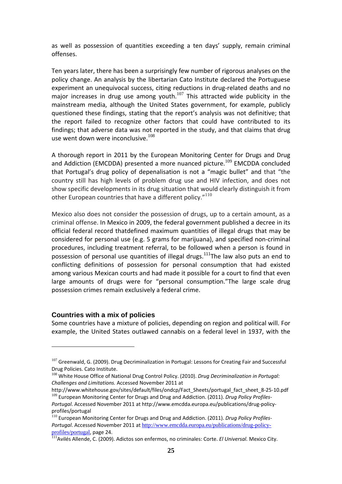as well as possession of quantities exceeding a ten days' supply, remain criminal offenses.

Ten years later, there has been a surprisingly few number of rigorous analyses on the policy change. An analysis by the libertarian Cato Institute declared the Portuguese experiment an unequivocal success, citing reductions in drug-related deaths and no major increases in drug use among youth.<sup>107</sup> This attracted wide publicity in the mainstream media, although the United States government, for example, publicly questioned these findings, stating that the report's analysis was not definitive; that the report failed to recognize other factors that could have contributed to its findings; that adverse data was not reported in the study, and that claims that drug use went down were inconclusive. $108$ 

A thorough report in 2011 by the European Monitoring Center for Drugs and Drug and Addiction (EMCDDA) presented a more nuanced picture.<sup>109</sup> EMCDDA concluded that Portugal's drug policy of depenalisation is not a "magic bullet" and that "the country still has high levels of problem drug use and HIV infection, and does not show specific developments in its drug situation that would clearly distinguish it from other European countries that have a different policy."<sup>110</sup>

Mexico also does not consider the possession of drugs, up to a certain amount, as a criminal offense. In Mexico in 2009, the federal government published a decree in its official federal record thatdefined maximum quantities of illegal drugs that may be considered for personal use (e.g. 5 grams for marijuana), and specified non‐criminal procedures, including treatment referral, to be followed when a person is found in possession of personal use quantities of illegal drugs.<sup>111</sup>The law also puts an end to conflicting definitions of possession for personal consumption that had existed among various Mexican courts and had made it possible for a court to find that even large amounts of drugs were for "personal consumption."The large scale drug possession crimes remain exclusively a federal crime.

#### **Countries with a mix of policies**

Some countries have a mixture of policies, depending on region and political will. For example, the United States outlawed cannabis on a federal level in 1937, with the

 $107$  Greenwald, G. (2009). Drug Decriminalization in Portugal: Lessons for Creating Fair and Successful Drug Policies. Cato Institute.

<sup>108</sup> White House Office of National Drug Control Policy. (2010). *Drug Decriminalization in Portugal: Challenges and Limitations.* Accessed November 2011 at

http://www.whitehouse.gov/sites/default/files/ondcp/Fact\_Sheets/portugal\_fact\_sheet\_8-25-10.pdf <sup>109</sup> European Monitoring Center for Drugs and Drug and Addiction. (2011). *Drug Policy Profiles‐* 

*Portugal*. Accessed November 2011 at http://www.emcdda.europa.eu/publications/drug‐policy‐ profiles/portugal

<sup>110</sup> European Monitoring Center for Drugs and Drug and Addiction. (2011). *Drug Policy Profiles‐ Portugal*. Accessed November 2011 at http://www.emcdda.europa.eu/publications/drug-policyprofiles/portugal, page 24.

<sup>111</sup>Avilés Allende, C. (2009). Adictos son enfermos, no criminales: Corte. *El Universal.* Mexico City.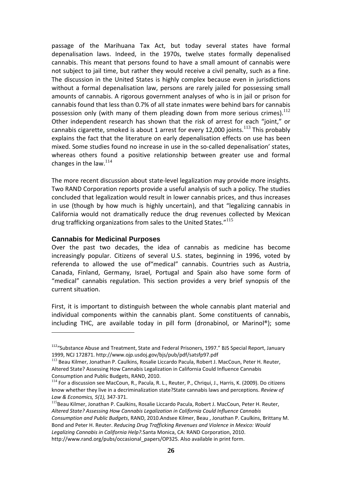passage of the Marihuana Tax Act, but today several states have formal depenalisation laws. Indeed, in the 1970s, twelve states formally depenalised cannabis. This meant that persons found to have a small amount of cannabis were not subject to jail time, but rather they would receive a civil penalty, such as a fine. The discussion in the United States is highly complex because even in jurisdictions without a formal depenalisation law, persons are rarely jailed for possessing small amounts of cannabis. A rigorous government analyses of who is in jail or prison for cannabis found that less than 0.7% of all state inmates were behind bars for cannabis possession only (with many of them pleading down from more serious crimes). $^{112}$ Other independent research has shown that the risk of arrest for each "joint," or cannabis cigarette, smoked is about 1 arrest for every 12,000 joints.<sup>113</sup> This probably explains the fact that the literature on early depenalisation effects on use has been mixed. Some studies found no increase in use in the so-called depenalisation' states, whereas others found a positive relationship between greater use and formal changes in the law.<sup>114</sup>

The more recent discussion about state‐level legalization may provide more insights. Two RAND Corporation reports provide a useful analysis of such a policy. The studies concluded that legalization would result in lower cannabis prices, and thus increases in use (though by how much is highly uncertain), and that "legalizing cannabis in California would not dramatically reduce the drug revenues collected by Mexican drug trafficking organizations from sales to the United States."<sup>115</sup>

#### **Cannabis for Medicinal Purposes**

Over the past two decades, the idea of cannabis as medicine has become increasingly popular. Citizens of several U.S. states, beginning in 1996, voted by referenda to allowed the use of"medical" cannabis. Countries such as Austria, Canada, Finland, Germany, Israel, Portugal and Spain also have some form of "medical" cannabis regulation. This section provides a very brief synopsis of the current situation.

First, it is important to distinguish between the whole cannabis plant material and individual components within the cannabis plant. Some constituents of cannabis, including THC, are available today in pill form (dronabinol, or Marinol®); some

<sup>&</sup>lt;sup>112</sup>"Substance Abuse and Treatment, State and Federal Prisoners, 1997." BJS Special Report, January 1999, NCJ 172871. http://www.ojp.usdoj.gov/bjs/pub/pdf/satsfp97.pdf

<sup>&</sup>lt;sup>113</sup> Beau Kilmer, Jonathan P. Caulkins, Rosalie Liccardo Pacula, Robert J. MacCoun, Peter H. Reuter, Altered State? Assessing How Cannabis Legalization in California Could Influence Cannabis

Consumption and Public Budgets, RAND, 2010.<br><sup>114</sup> For a discussion see MacCoun, R., Pacula, R. L., Reuter, P., Chriqui, J., Harris, K. (2009). Do citizens know whether they live in a decriminalization state?State cannabis laws and perceptions. *Review of Law & Economics, 5(1),* 347‐371.

<sup>&</sup>lt;sup>115</sup>Beau Kilmer, Jonathan P. Caulkins, Rosalie Liccardo Pacula, Robert J. MacCoun, Peter H. Reuter, *Altered State? Assessing How Cannabis Legalization in California Could Influence Cannabis Consumption and Public Budgets*, RAND, 2010.Andsee Kilmer, Beau , Jonathan P. Caulkins, Brittany M. Bond and Peter H. Reuter. *Reducing Drug Trafficking Revenues and Violence in Mexico: Would Legalizing Cannabis in California Help?.*Santa Monica, CA: RAND Corporation, 2010. http://www.rand.org/pubs/occasional\_papers/OP325. Also available in print form.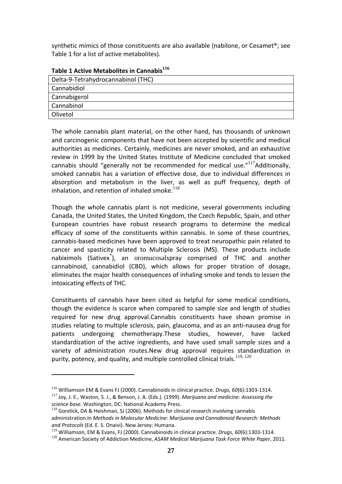synthetic mimics of those constituents are also available (nabilone, or Cesamet®; see Table 1 for a list of active metabolites).

| Delta-9-Tetrahydrocannabinol (THC) |
|------------------------------------|
| Cannabidiol                        |
| Cannabigerol                       |
| Cannabinol                         |
| Olivetol                           |

**Table 1 Active Metabolites in Cannabis<sup>116</sup>**

The whole cannabis plant material, on the other hand, has thousands of unknown and carcinogenic components that have not been accepted by scientific and medical authorities as medicines. Certainly, medicines are never smoked, and an exhaustive review in 1999 by the United States Institute of Medicine concluded that smoked cannabis should "generally not be recommended for medical use." $117$ Additionally, smoked cannabis has a variation of effective dose, due to individual differences in absorption and metabolism in the liver, as well as puff frequency, depth of inhalation, and retention of inhaled smoke. $^{118}$ 

Though the whole cannabis plant is not medicine, several governments including Canada, the United States, the United Kingdom, the Czech Republic, Spain, and other European countries have robust research programs to determine the medical efficacy of some of the constituents within cannabis. In some of these countries, cannabis‐based medicines have been approved to treat neuropathic pain related to cancer and spasticity related to Multiple Sclerosis (MS). These products include nabiximols (Sativex<sup>®</sup>), an oromucosalspray comprised of THC and another cannabinoid, cannabidiol (CBD), which allows for proper titration of dosage, eliminates the major health consequences of inhaling smoke and tends to lessen the intoxicating effects of THC.

Constituents of cannabis have been cited as helpful for some medical conditions, though the evidence is scarce when compared to sample size and length of studies required for new drug approval.Cannabis constituents have shown promise in studies relating to multiple sclerosis, pain, glaucoma, and as an anti‐nausea drug for patients undergoing chemotherapy.These studies, however, have lacked standardization of the active ingredients, and have used small sample sizes and a variety of administration routes.New drug approval requires standardization in purity, potency, and quality, and multiple controlled clinical trials.<sup>119, 120</sup>

<sup>&</sup>lt;sup>116</sup> Williamson EM & Evans FJ (2000). Cannabinoids in clinical practice. *Drugs, 60*(6):1303-1314.<br><sup>117</sup> Joy, J. E., Waston, S. J., & Benson, J. A. (Eds.). (1999). *Marijuana and medicine: Assessing the* 

*science base.* Washington, DC: National Academy Press.<br><sup>118</sup> Gorelick, DA & Heishman, SJ (2006). Methods for clinical research involving cannabis

administration.In *Methods in Molecular Medicine: Marijuana and Cannabinoid Research: Methods and Protocols* (Ed. E. S. Onaivi). New Jersey: Humana.

<sup>119</sup> Williamson, EM & Evans, FJ (2000). Cannabinoids in clinical practice. *Drugs, 60*(6):1303‐1314.

<sup>120</sup> American Society of Addiction Medicine, *ASAM Medical Marijuana Task Force White Paper*, 2011.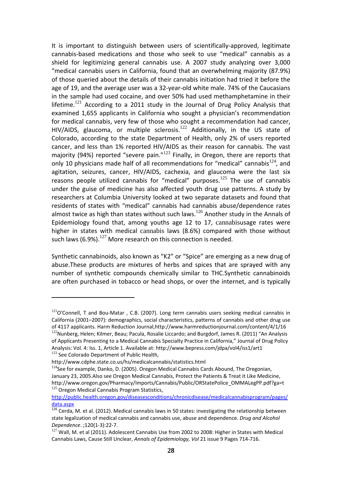It is important to distinguish between users of scientifically‐approved, legitimate cannabis‐based medications and those who seek to use "medical" cannabis as a shield for legitimizing general cannabis use. A 2007 study analyzing over 3,000 "medical cannabis users in California, found that an overwhelming majority (87.9%) of those queried about the details of their cannabis initiation had tried it before the age of 19, and the average user was a 32‐year‐old white male. 74% of the Caucasians in the sample had used cocaine, and over 50% had used methamphetamine in their lifetime.<sup>121</sup> According to a 2011 study in the Journal of Drug Policy Analysis that examined 1,655 applicants in California who sought a physician's recommendation for medical cannabis, very few of those who sought a recommendation had cancer, HIV/AIDS, glaucoma, or multiple sclerosis.<sup>122</sup> Additionally, in the US state of Colorado, according to the state Department of Health, only 2% of users reported cancer, and less than 1% reported HIV/AIDS as their reason for cannabis. The vast majority (94%) reported "severe pain." $123$  Finally, in Oregon, there are reports that only 10 physicians made half of all recommendations for "medical" cannabis $124$ , and agitation, seizures, cancer, HIV/AIDS, cachexia, and glaucoma were the last six reasons people utilized cannabis for "medical" purposes.<sup>125</sup> The use of cannabis under the guise of medicine has also affected youth drug use patterns. A study by researchers at Columbia University looked at two separate datasets and found that residents of states with "medical" cannabis had cannabis abuse/dependence rates almost twice as high than states without such laws.<sup>126</sup> Another study in the Annals of Epidemiology found that, among youths age 12 to 17, cannabisusage rates were higher in states with medical cannabis laws (8.6%) compared with those without such laws (6.9%).<sup>127</sup> More research on this connection is needed.

Synthetic cannabinoids, also known as "K2" or "Spice" are emerging as a new drug of abuse.These products are mixtures of herbs and spices that are sprayed with any number of synthetic compounds chemically similar to THC.Synthetic cannabinoids are often purchased in tobacco or head shops, or over the internet, and is typically

 $121$ O'Connell, T and Bou-Matar , C.B. (2007). Long term cannabis users seeking medical cannabis in California (2001–2007): demographics, social characteristics, patterns of cannabis and other drug use of 4117 applicants. Harm Reduction Journal,http://www.harmreductionjournal.com/content/4/1/16<br><sup>122</sup>Nunberg, Helen; Kilmer, Beau; Pacula, Rosalie Liccardo; and Burgdorf, James R. (2011) "An Analysis of Applicants Presenting to a Medical Cannabis Specialty Practice in California," Journal of Drug Policy Analysis: Vol. 4: Iss. 1, Article 1. Available at: http://www.bepress.com/jdpa/vol4/iss1/art1<br>
<sup>123</sup> See Colorado Department of Public Health,<br>
http://www.cdphe.state.co.us/hs/medicalcannabis/statistics.html

 $124$ See for example, Danko, D. (2005). Oregon Medical Cannabis Cards Abound, The Oregonian, January 23, 2005.Also see Oregon Medical Cannabis, Protect the Patients & Treat it Like Medicine, http://www.oregon.gov/Pharmacy/Imports/Cannabis/Public/ORStatePolice\_OMMALegPP.pdf?ga=t <sup>125</sup> Oregon Medical Cannabis Program Statistics,

http://public.health.oregon.gov/diseasesconditions/chronicdisease/medicalcannabisprogram/pages/ data.aspx

 $\frac{126}{126}$  Cerda, M. et al. (2012). Medical cannabis laws in 50 states: investigating the relationship between state legalization of medical cannabis and cannabis use, abuse and dependence. *Drug and Alcohol Dependence*. ;120(1-3):22-7.<br><sup>127</sup> Wall, M. et al (2011). Adolescent Cannabis Use from 2002 to 2008: Higher in States with Medical

Cannabis Laws, Cause Still Unclear, *Annals of Epidemiology, Vol* 21 issue 9 Pages 714‐716.